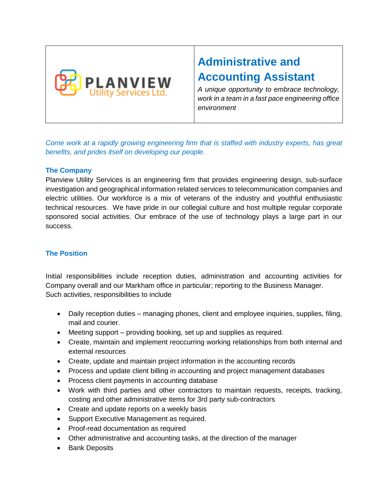

# **Administrative and Accounting Assistant**

*A unique opportunity to embrace technology, work in a team in a fast pace engineering office environment* 

*Come work at a rapidly growing engineering firm that is staffed with industry experts, has great benefits, and prides itself on developing our people.* 

## **The Company**

Planview Utility Services is an engineering firm that provides engineering design, sub-surface investigation and geographical information related services to telecommunication companies and electric utilities. Our workforce is a mix of veterans of the industry and youthful enthusiastic technical resources. We have pride in our collegial culture and host multiple regular corporate sponsored social activities. Our embrace of the use of technology plays a large part in our success.

# **The Position**

Initial responsibilities include reception duties, administration and accounting activities for Company overall and our Markham office in particular; reporting to the Business Manager. Such activities, responsibilities to include

- Daily reception duties managing phones, client and employee inquiries, supplies, filing, mail and courier.
- Meeting support providing booking, set up and supplies as required.
- Create, maintain and implement reoccurring working relationships from both internal and external resources
- Create, update and maintain project information in the accounting records
- Process and update client billing in accounting and project management databases
- Process client payments in accounting database
- Work with third parties and other contractors to maintain requests, receipts, tracking, costing and other administrative items for 3rd party sub-contractors
- Create and update reports on a weekly basis
- Support Executive Management as required.
- Proof-read documentation as required
- Other administrative and accounting tasks, at the direction of the manager
- Bank Deposits